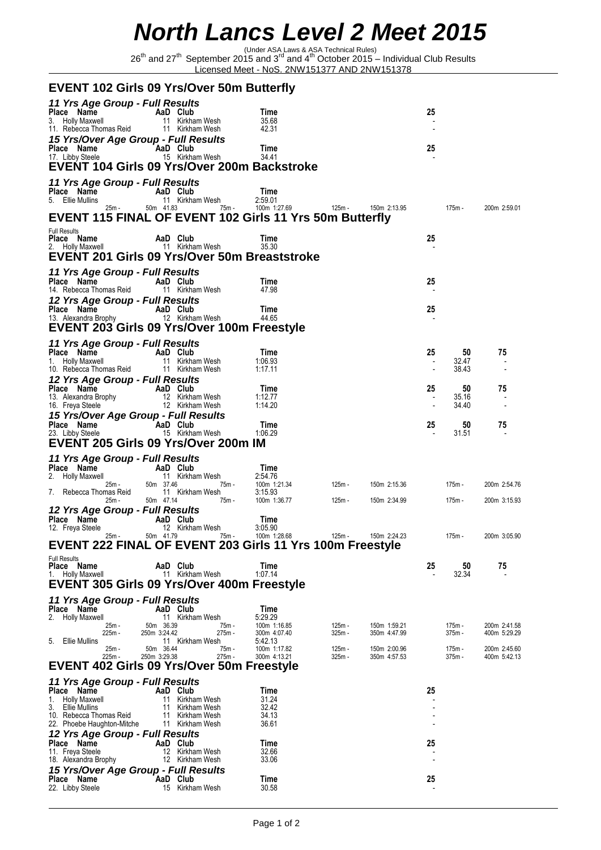## *North Lancs Level 2 Meet 2015*

(Under ASA Laws & ASA Technical Rules) 26th and 27th September 2015 and 3rd and 4th October 2015 – Individual Club Results Licensed Meet - NoS. 2NW151377 AND 2NW151378

| <b>EVENT 102 Girls 09 Yrs/Over 50m Butterfly</b>                                                             |                           |                                                 |                             |                              |                      |                              |                                |                      |                              |  |  |  |  |
|--------------------------------------------------------------------------------------------------------------|---------------------------|-------------------------------------------------|-----------------------------|------------------------------|----------------------|------------------------------|--------------------------------|----------------------|------------------------------|--|--|--|--|
| 11 Yrs Age Group - Full Results<br>Place Name<br>3. Holly Maxwell<br>11. Rebecca Thomas Reid                 |                           | AaD Club<br>11 Kirkham Wesh<br>11 Kirkham Wesh  | Time<br>35.68<br>42.31      |                              |                      |                              | 25                             |                      |                              |  |  |  |  |
| 15 Yrs/Over Age Group - Full Results<br>Place Name<br>17. Libby Steele                                       |                           | AaD Club<br>15 Kirkham Wesh                     | Time<br>34.41               |                              |                      |                              | 25                             |                      |                              |  |  |  |  |
| EVENT 104 Girls 09 Yrs/Over 200m Backstroke                                                                  |                           |                                                 |                             |                              |                      |                              |                                |                      |                              |  |  |  |  |
| 11 Yrs Age Group - Full Results<br>Place Name<br>5. Ellie Mullins                                            |                           | AaD Club<br>11 Kirkham Wesh                     | Time<br>2:59.01             |                              |                      |                              |                                |                      |                              |  |  |  |  |
| 25m -<br>EVENT 115 FINAL OF EVENT 102 Girls 11 Yrs 50m Butterfly                                             |                           | 50m  41.83                                      | 75m -                       | 100m 1:27.69                 | 125m -               | 150m 2:13.95                 |                                | 175m -               | 200m 2:59.01                 |  |  |  |  |
| <b>Full Results</b><br>Place Name<br>2. Holly Maxwell<br><b>EVENT 201 Girls 09 Yrs/Over 50m Breaststroke</b> |                           | AaD Club<br>11 Kirkham Wesh                     | Time<br>35.30               |                              |                      |                              | 25                             |                      |                              |  |  |  |  |
| 11 Yrs Age Group - Full Results<br>Place Name<br>14. Rebecca Thomas Reid                                     |                           | AaD Club<br>11 Kirkham Wesh                     | Time<br>47.98               |                              |                      |                              | 25                             |                      |                              |  |  |  |  |
| 12 Yrs Age Group - Full Results<br>Place Name<br>13. Alexandra Brophy                                        |                           | AaD Club<br>12 Kirkham Wesh                     | Time<br>44.65               |                              |                      |                              | 25                             |                      |                              |  |  |  |  |
| EVENT 203 Girls 09 Yrs/Over 100m Freestyle                                                                   |                           |                                                 |                             |                              |                      |                              |                                |                      |                              |  |  |  |  |
| 11 Yrs Age Group - Full Results<br>Place Name<br>1. Holly Maxwell                                            |                           | AaD Club<br>11 Kirkham Wesh                     | Time<br>1:06.93             |                              |                      |                              | 25<br>$\overline{\phantom{a}}$ | 50<br>32.47          | 75                           |  |  |  |  |
| 10. Rebecca Thomas Reid<br>12 Yrs Age Group - Full Results                                                   |                           | 11 Kirkham Wesh                                 | 1.17.11                     |                              |                      |                              |                                | 38.43                |                              |  |  |  |  |
| Place Name<br>13. Alexandra Brophy<br>16. Freya Steele                                                       |                           | AaD Club<br>12 Kirkham Wesh<br>12 Kirkham Wesh  | Time<br>1:12.77<br>1:14.20  |                              |                      |                              | 25<br>$\overline{\phantom{a}}$ | 50<br>35.16<br>34.40 | 75                           |  |  |  |  |
| 15 Yrs/Over Age Group - Full Results<br>Place Name<br>23. Libby Steele                                       |                           | AaD Club<br>15 Kirkham Wesh                     | Time<br>1:06.29             |                              |                      |                              | 25                             | 50<br>31.51          | 75                           |  |  |  |  |
| EVENT 205 Girls 09 Yrs/Over 200m IM                                                                          |                           |                                                 |                             |                              |                      |                              |                                |                      |                              |  |  |  |  |
| 11 Yrs Age Group - Full Results<br>Place Name                                                                |                           | AaD Club                                        | Time                        |                              |                      |                              |                                |                      |                              |  |  |  |  |
| <b>Holly Maxwell</b><br>25m -                                                                                | 50m 37.46                 | 11 Kirkham Wesh                                 | 2:54.76<br>75m -            | 100m 1:21.34                 | 125m -               | 150m 2:15.36                 |                                | 175m -               | 200m 2:54.76                 |  |  |  |  |
| Rebecca Thomas Reid<br>7.<br>25m -                                                                           | 50m 47.14                 | 11 Kirkham Wesh                                 | 3:15.93<br>75m -            | 100m 1:36.77                 | 125m -               | 150m 2:34.99                 |                                | 175m -               | 200m 3:15.93                 |  |  |  |  |
| 12 Yrs Age Group - Full Results<br>Place Name<br>12. Freya Steele                                            |                           | AaD Club<br>12 Kirkham Wesh                     | Time<br>3:05.90             |                              |                      |                              |                                |                      |                              |  |  |  |  |
| 25m -<br>EVENT 222 FINAL OF EVENT 203 Girls 11 Yrs 100m Freestyle                                            | 50m 41.79                 |                                                 | 75m -                       | 100m 1:28.68                 | 125m -               | 150m 2:24.23                 |                                | 175m -               | 200m 3:05.90                 |  |  |  |  |
| <b>Full Results</b><br>Place Name<br><b>Holly Maxwell</b><br>1.                                              | 11                        | AaD Club<br>Kirkham Wesh                        | Time<br>1:07.14             |                              |                      |                              | 25                             | 50<br>32.34          | 75                           |  |  |  |  |
| <b>EVENT 305 Girls 09 Yrs/Over 400m Freestyle</b>                                                            |                           |                                                 |                             |                              |                      |                              |                                |                      |                              |  |  |  |  |
| 11 Yrs Age Group - Full Results<br>Place Name                                                                |                           | AaD Club                                        | Time                        |                              |                      |                              |                                |                      |                              |  |  |  |  |
| 2.<br><b>Holly Maxwell</b><br>25m -<br>225m -<br>5.<br>Ellie Mullins                                         | 50m 36.39<br>250m 3:24.42 | 11 Kirkham Wesh<br>275m -<br>11 Kirkham Wesh    | 5:29.29<br>75m -<br>5:42.13 | 100m 1:16.85<br>300m 4:07.40 | $125m -$<br>$325m -$ | 150m 1:59.21<br>350m 4:47.99 |                                | 175m -<br>375m -     | 200m 2:41.58<br>400m 5:29.29 |  |  |  |  |
| 25m -<br>225m -                                                                                              | 50m 36.44<br>250m 3:29.38 | 275m -                                          | 75m -                       | 100m 1:17.82<br>300m 4:13.21 | 125m -<br>$325m -$   | 150m 2:00.96<br>350m 4:57.53 |                                | 175m -<br>375m -     | 200m 2:45.60<br>400m 5:42.13 |  |  |  |  |
| EVENT 402 Girls 09 Yrs/Over 50m Freestyle                                                                    |                           |                                                 |                             |                              |                      |                              |                                |                      |                              |  |  |  |  |
| 11 Yrs Age Group - Full Results                                                                              |                           | AaD Club                                        |                             |                              |                      |                              | 25                             |                      |                              |  |  |  |  |
| Place Name<br><b>Holly Maxwell</b><br>1.                                                                     | 11                        | Kirkham Wesh                                    | Time<br>31.24               |                              |                      |                              |                                |                      |                              |  |  |  |  |
| 3.<br>Ellie Mullins<br>10. Rebecca Thomas Reid<br>22. Phoebe Haughton-Mitche                                 | 11<br>11                  | Kirkham Wesh<br>Kirkham Wesh<br>11 Kirkham Wesh | 32.42<br>34.13<br>36.61     |                              |                      |                              |                                |                      |                              |  |  |  |  |
| 12 Yrs Age Group - Full Results<br>Place Name                                                                |                           | AaD Club                                        | Time                        |                              |                      |                              | 25                             |                      |                              |  |  |  |  |
| 11. Freya Steele<br>18. Alexandra Brophy                                                                     | 12                        | Kirkham Wesh<br>12 Kirkham Wesh                 | 32.66<br>33.06              |                              |                      |                              |                                |                      |                              |  |  |  |  |
| 15 Yrs/Over Age Group - Full Results<br>Place Name                                                           |                           | AaD Club                                        | Time                        |                              |                      |                              | 25                             |                      |                              |  |  |  |  |
| 22. Libby Steele                                                                                             |                           | 15 Kirkham Wesh                                 | 30.58                       |                              |                      |                              |                                |                      |                              |  |  |  |  |